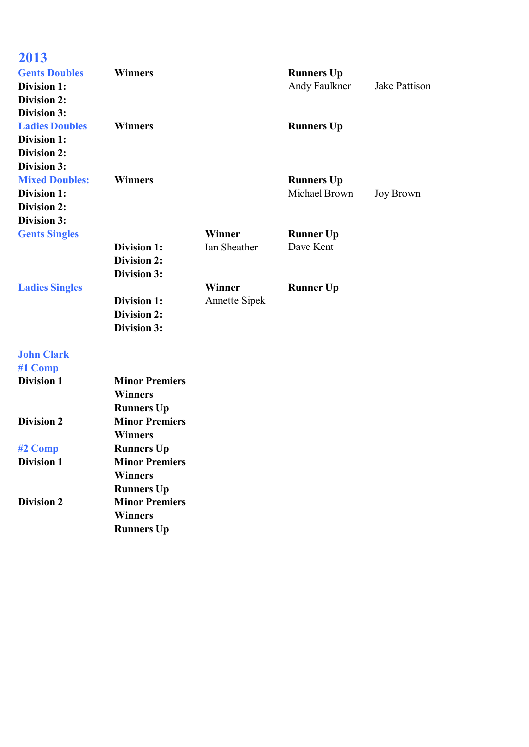| 2013                  |                       |                      |                   |                      |
|-----------------------|-----------------------|----------------------|-------------------|----------------------|
| <b>Gents Doubles</b>  | <b>Winners</b>        |                      | <b>Runners Up</b> |                      |
| <b>Division 1:</b>    |                       |                      | Andy Faulkner     | <b>Jake Pattison</b> |
| <b>Division 2:</b>    |                       |                      |                   |                      |
| <b>Division 3:</b>    |                       |                      |                   |                      |
| <b>Ladies Doubles</b> | <b>Winners</b>        |                      | <b>Runners Up</b> |                      |
| <b>Division 1:</b>    |                       |                      |                   |                      |
| <b>Division 2:</b>    |                       |                      |                   |                      |
| <b>Division 3:</b>    |                       |                      |                   |                      |
| <b>Mixed Doubles:</b> | <b>Winners</b>        |                      | <b>Runners Up</b> |                      |
| <b>Division 1:</b>    |                       |                      | Michael Brown     | <b>Joy Brown</b>     |
| <b>Division 2:</b>    |                       |                      |                   |                      |
| Division 3:           |                       |                      |                   |                      |
| <b>Gents Singles</b>  |                       | Winner               | <b>Runner Up</b>  |                      |
|                       | <b>Division 1:</b>    | Ian Sheather         | Dave Kent         |                      |
|                       | <b>Division 2:</b>    |                      |                   |                      |
|                       | Division 3:           |                      |                   |                      |
| <b>Ladies Singles</b> |                       | Winner               | <b>Runner Up</b>  |                      |
|                       | <b>Division 1:</b>    | <b>Annette Sipek</b> |                   |                      |
|                       | <b>Division 2:</b>    |                      |                   |                      |
|                       | Division 3:           |                      |                   |                      |
| <b>John Clark</b>     |                       |                      |                   |                      |
| #1 Comp               |                       |                      |                   |                      |
| <b>Division 1</b>     | <b>Minor Premiers</b> |                      |                   |                      |
|                       | <b>Winners</b>        |                      |                   |                      |
|                       | <b>Runners Up</b>     |                      |                   |                      |
| <b>Division 2</b>     | <b>Minor Premiers</b> |                      |                   |                      |
|                       | <b>Winners</b>        |                      |                   |                      |
| #2 Comp               | <b>Runners Up</b>     |                      |                   |                      |
| <b>Division 1</b>     | <b>Minor Premiers</b> |                      |                   |                      |
|                       | <b>Winners</b>        |                      |                   |                      |
|                       | <b>Runners Up</b>     |                      |                   |                      |
| <b>Division 2</b>     | <b>Minor Premiers</b> |                      |                   |                      |
|                       | <b>Winners</b>        |                      |                   |                      |
|                       | <b>Runners Up</b>     |                      |                   |                      |
|                       |                       |                      |                   |                      |